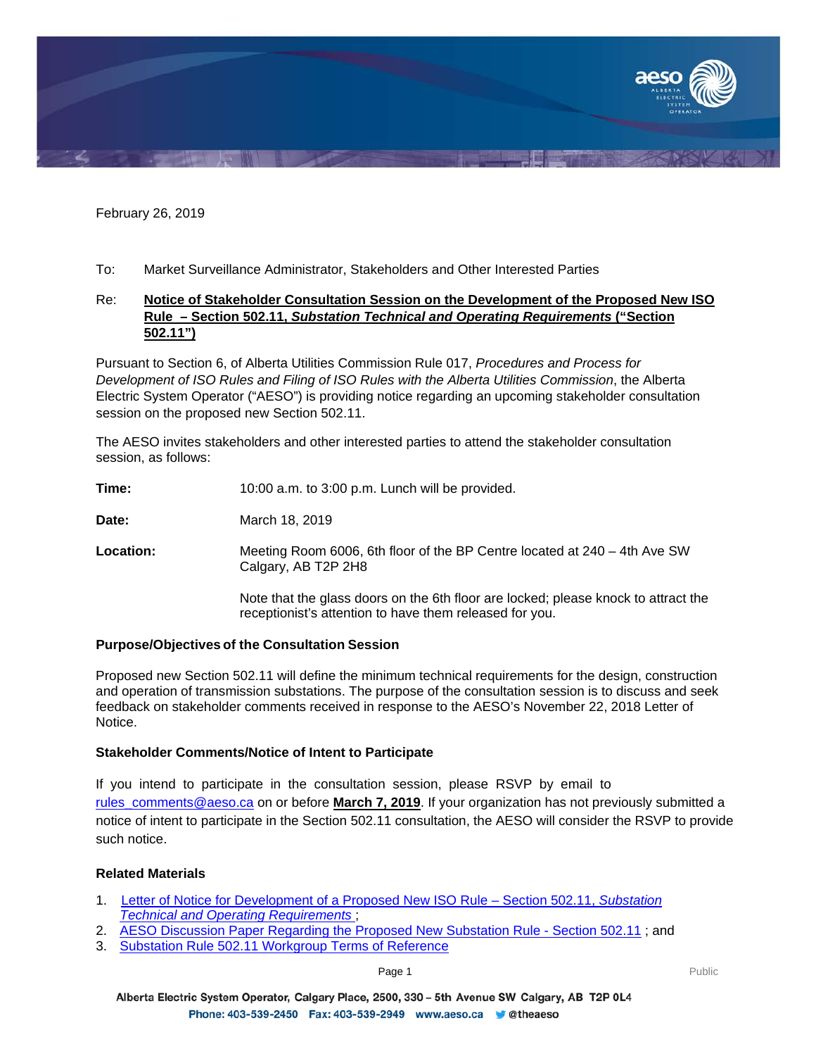

February 26, 2019

To: Market Surveillance Administrator, Stakeholders and Other Interested Parties

## Re: **Notice of Stakeholder Consultation Session on the Development of the Proposed New ISO Rule – Section 502.11,** *Substation Technical and Operating Requirements* **("Section 502.11")**

Pursuant to Section 6, of Alberta Utilities Commission Rule 017, *Procedures and Process for Development of ISO Rules and Filing of ISO Rules with the Alberta Utilities Commission*, the Alberta Electric System Operator ("AESO") is providing notice regarding an upcoming stakeholder consultation session on the proposed new Section 502.11.

The AESO invites stakeholders and other interested parties to attend the stakeholder consultation session, as follows:

**Time:** 10:00 a.m. to 3:00 p.m. Lunch will be provided.

**Date:** March 18, 2019

**Location:** Meeting Room 6006, 6th floor of the BP Centre located at 240 – 4th Ave SW Calgary, AB T2P 2H8

> Note that the glass doors on the 6th floor are locked; please knock to attract the receptionist's attention to have them released for you.

### **Purpose/Objectives of the Consultation Session**

Proposed new Section 502.11 will define the minimum technical requirements for the design, construction and operation of transmission substations. The purpose of the consultation session is to discuss and seek feedback on stakeholder comments received in response to the AESO's November 22, 2018 Letter of Notice.

### **Stakeholder Comments/Notice of Intent to Participate**

If you intend to participate in the consultation session, please RSVP by email to rules comments@aeso.ca on or before **March 7, 2019**. If your organization has not previously submitted a notice of intent to participate in the Section 502.11 consultation, the AESO will consider the RSVP to provide such notice.

### **Related Materials**

- 1. [Letter of Notice for Development of a Proposed New ISO Rule –](https://www.aeso.ca/assets/Uploads/Letter-of-Notice-for-Development-of-Rule-502.11-Stage-1.pdf) Section 502.11, *Substation [Technical and Operating Requirements](https://www.aeso.ca/assets/Uploads/Letter-of-Notice-for-Development-of-Rule-502.11-Stage-1.pdf)* ;
- 2. [AESO Discussion Paper Regarding the Proposed New Substation Rule -](https://www.aeso.ca/assets/Uploads/Substation-Rule-502.11-Discussion-Paper.pdf) Section 502.11 ; and
- 3. [Substation Rule 502.11 Workgroup Terms of Reference](https://www.aeso.ca/assets/Uploads/502-11-WG-Final-T-of-R.pdf)